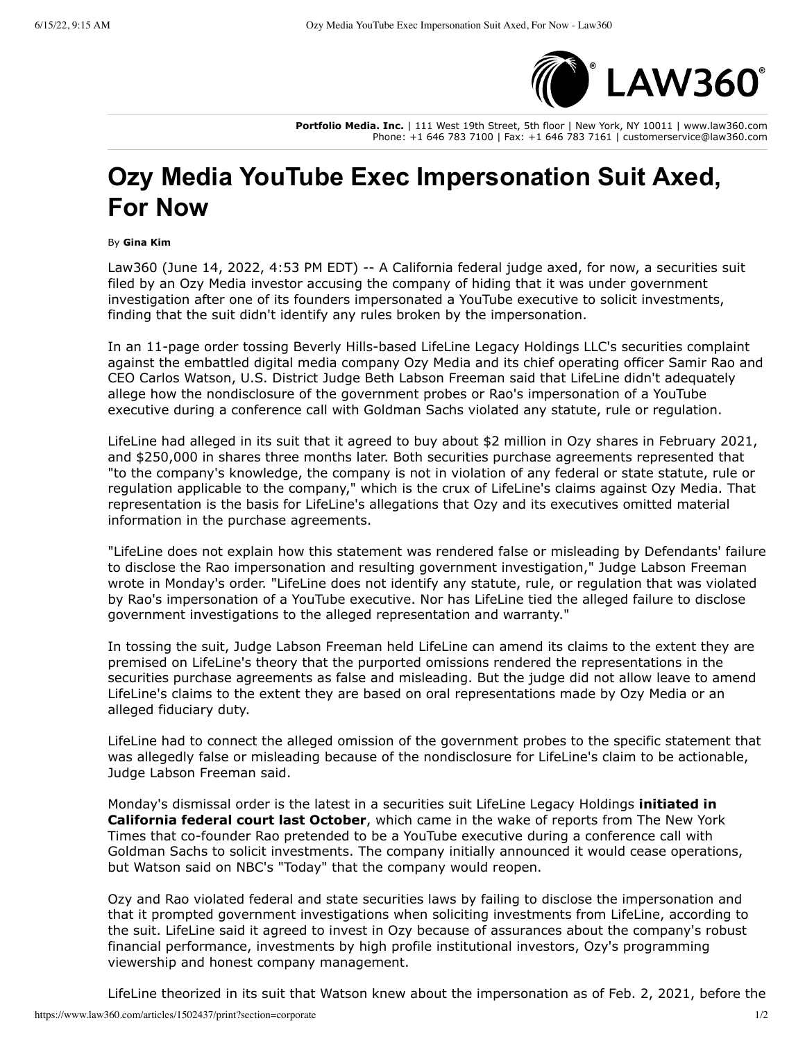

**Portfolio Media. Inc.** | 111 West 19th Street, 5th floor | New York, NY 10011 | www.law360.com Phone: +1 646 783 7100 | Fax: +1 646 783 7161 | customerservice@law360.com

## **Ozy Media YouTube Exec Impersonation Suit Axed, For Now**

By **Gina Kim**

Law360 (June 14, 2022, 4:53 PM EDT) -- A California federal judge axed, for now, a securities suit filed by an Ozy Media investor accusing the company of hiding that it was under government investigation after one of its founders impersonated a YouTube executive to solicit investments, finding that the suit didn't identify any rules broken by the impersonation.

In an 11-page order tossing Beverly Hills-based LifeLine Legacy Holdings LLC's securities complaint against the embattled digital media company Ozy Media and its chief operating officer Samir Rao and CEO Carlos Watson, U.S. District Judge Beth Labson Freeman said that LifeLine didn't adequately allege how the nondisclosure of the government probes or Rao's impersonation of a YouTube executive during a conference call with Goldman Sachs violated any statute, rule or regulation.

LifeLine had alleged in its suit that it agreed to buy about \$2 million in Ozy shares in February 2021, and \$250,000 in shares three months later. Both securities purchase agreements represented that "to the company's knowledge, the company is not in violation of any federal or state statute, rule or regulation applicable to the company," which is the crux of LifeLine's claims against Ozy Media. That representation is the basis for LifeLine's allegations that Ozy and its executives omitted material information in the purchase agreements.

"LifeLine does not explain how this statement was rendered false or misleading by Defendants' failure to disclose the Rao impersonation and resulting government investigation," Judge Labson Freeman wrote in Monday's order. "LifeLine does not identify any statute, rule, or regulation that was violated by Rao's impersonation of a YouTube executive. Nor has LifeLine tied the alleged failure to disclose government investigations to the alleged representation and warranty."

In tossing the suit, Judge Labson Freeman held LifeLine can amend its claims to the extent they are premised on LifeLine's theory that the purported omissions rendered the representations in the securities purchase agreements as false and misleading. But the judge did not allow leave to amend LifeLine's claims to the extent they are based on oral representations made by Ozy Media or an alleged fiduciary duty.

LifeLine had to connect the alleged omission of the government probes to the specific statement that was allegedly false or misleading because of the nondisclosure for LifeLine's claim to be actionable, Judge Labson Freeman said.

Monday's dismissal order is the latest in a securities suit LifeLine Legacy Holdings **initiated in California federal court last October**, which came in the wake of reports from The New York Times that co-founder Rao pretended to be a YouTube executive during a conference call with Goldman Sachs to solicit investments. The company initially announced it would cease operations, but Watson said on NBC's "Today" that the company would reopen.

Ozy and Rao violated federal and state securities laws by failing to disclose the impersonation and that it prompted government investigations when soliciting investments from LifeLine, according to the suit. LifeLine said it agreed to invest in Ozy because of assurances about the company's robust financial performance, investments by high profile institutional investors, Ozy's programming viewership and honest company management.

LifeLine theorized in its suit that Watson knew about the impersonation as of Feb. 2, 2021, before the